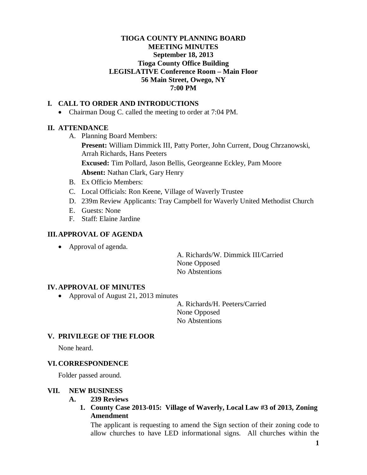### **TIOGA COUNTY PLANNING BOARD MEETING MINUTES September 18, 2013 Tioga County Office Building LEGISLATIVE Conference Room – Main Floor 56 Main Street, Owego, NY 7:00 PM**

### **I. CALL TO ORDER AND INTRODUCTIONS**

• Chairman Doug C. called the meeting to order at 7:04 PM.

#### **II. ATTENDANCE**

A. Planning Board Members:

**Present:** William Dimmick III, Patty Porter, John Current, Doug Chrzanowski, Arrah Richards, Hans Peeters

**Excused:** Tim Pollard, Jason Bellis, Georgeanne Eckley, Pam Moore **Absent:** Nathan Clark, Gary Henry

- B. Ex Officio Members:
- C. Local Officials: Ron Keene, Village of Waverly Trustee
- D. 239m Review Applicants: Tray Campbell for Waverly United Methodist Church
- E. Guests: None
- F. Staff: Elaine Jardine

### **III.APPROVAL OF AGENDA**

• Approval of agenda.

A. Richards/W. Dimmick III/Carried None Opposed No Abstentions

#### **IV. APPROVAL OF MINUTES**

• Approval of August 21, 2013 minutes

A. Richards/H. Peeters/Carried None Opposed No Abstentions

# **V. PRIVILEGE OF THE FLOOR**

None heard.

#### **VI. CORRESPONDENCE**

Folder passed around.

#### **VII. NEW BUSINESS**

- **A. 239 Reviews**
	- **1. County Case 2013-015: Village of Waverly, Local Law #3 of 2013, Zoning Amendment**

The applicant is requesting to amend the Sign section of their zoning code to allow churches to have LED informational signs. All churches within the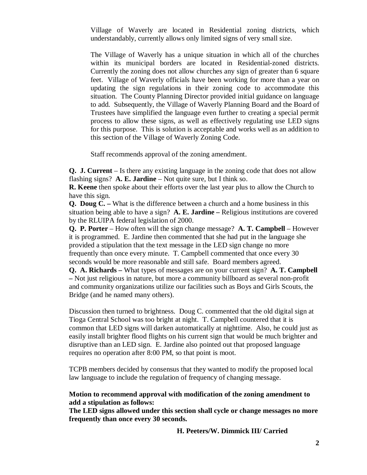Village of Waverly are located in Residential zoning districts, which understandably, currently allows only limited signs of very small size.

The Village of Waverly has a unique situation in which all of the churches within its municipal borders are located in Residential-zoned districts. Currently the zoning does not allow churches any sign of greater than 6 square feet. Village of Waverly officials have been working for more than a year on updating the sign regulations in their zoning code to accommodate this situation. The County Planning Director provided initial guidance on language to add. Subsequently, the Village of Waverly Planning Board and the Board of Trustees have simplified the language even further to creating a special permit process to allow these signs, as well as effectively regulating use LED signs for this purpose. This is solution is acceptable and works well as an addition to this section of the Village of Waverly Zoning Code.

Staff recommends approval of the zoning amendment.

**Q. J. Current** – Is there any existing language in the zoning code that does not allow flashing signs? **A. E. Jardine** – Not quite sure, but I think so.

**R. Keene** then spoke about their efforts over the last year plus to allow the Church to have this sign.

**Q. Doug C. –** What is the difference between a church and a home business in this situation being able to have a sign? **A. E. Jardine –** Religious institutions are covered by the RLUIPA federal legislation of 2000.

**Q. P. Porter** – How often will the sign change message? **A. T. Campbell** – However it is programmed. E. Jardine then commented that she had put in the language she provided a stipulation that the text message in the LED sign change no more frequently than once every minute. T. Campbell commented that once every 30 seconds would be more reasonable and still safe. Board members agreed.

**Q. A. Richards –** What types of messages are on your current sign? **A. T. Campbell –** Not just religious in nature, but more a community billboard as several non-profit and community organizations utilize our facilities such as Boys and Girls Scouts, the Bridge (and he named many others).

Discussion then turned to brightness. Doug C. commented that the old digital sign at Tioga Central School was too bright at night. T. Campbell countered that it is common that LED signs will darken automatically at nighttime. Also, he could just as easily install brighter flood flights on his current sign that would be much brighter and disruptive than an LED sign. E. Jardine also pointed out that proposed language requires no operation after 8:00 PM, so that point is moot.

TCPB members decided by consensus that they wanted to modify the proposed local law language to include the regulation of frequency of changing message.

#### **Motion to recommend approval with modification of the zoning amendment to add a stipulation as follows:**

**The LED signs allowed under this section shall cycle or change messages no more frequently than once every 30 seconds.**

**H. Peeters/W. Dimmick III/ Carried**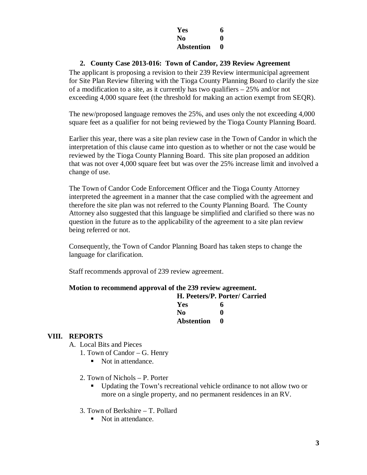| Yes               | 6 |
|-------------------|---|
| N <sub>0</sub>    | 0 |
| <b>Abstention</b> | 0 |

### **2. County Case 2013-016: Town of Candor, 239 Review Agreement**

The applicant is proposing a revision to their 239 Review intermunicipal agreement for Site Plan Review filtering with the Tioga County Planning Board to clarify the size of a modification to a site, as it currently has two qualifiers – 25% and/or not exceeding 4,000 square feet (the threshold for making an action exempt from SEQR).

The new/proposed language removes the 25%, and uses only the not exceeding 4,000 square feet as a qualifier for not being reviewed by the Tioga County Planning Board.

Earlier this year, there was a site plan review case in the Town of Candor in which the interpretation of this clause came into question as to whether or not the case would be reviewed by the Tioga County Planning Board. This site plan proposed an addition that was not over 4,000 square feet but was over the 25% increase limit and involved a change of use.

The Town of Candor Code Enforcement Officer and the Tioga County Attorney interpreted the agreement in a manner that the case complied with the agreement and therefore the site plan was not referred to the County Planning Board. The County Attorney also suggested that this language be simplified and clarified so there was no question in the future as to the applicability of the agreement to a site plan review being referred or not.

Consequently, the Town of Candor Planning Board has taken steps to change the language for clarification.

Staff recommends approval of 239 review agreement.

#### **Motion to recommend approval of the 239 review agreement.**

|            | H. Peeters/P. Porter/ Carried |
|------------|-------------------------------|
| <b>Yes</b> | 6                             |
| No.        | o                             |
| Abstention |                               |

# **VIII. REPORTS**

- A. Local Bits and Pieces
	- 1. Town of Candor G. Henry
		- Not in attendance.
	- 2. Town of Nichols P. Porter
		- Updating the Town's recreational vehicle ordinance to not allow two or more on a single property, and no permanent residences in an RV.
	- 3. Town of Berkshire T. Pollard
		- Not in attendance.